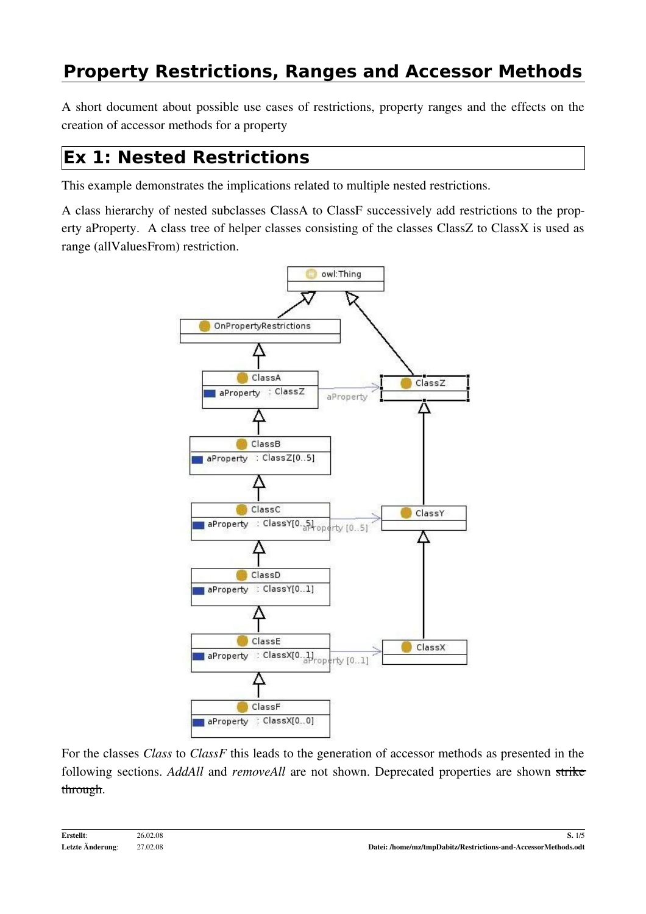A short document about possible use cases of restrictions, property ranges and the effects on the creation of accessor methods for a property

### **Ex 1: Nested Restrictions**

This example demonstrates the implications related to multiple nested restrictions.

A class hierarchy of nested subclasses ClassA to ClassF successively add restrictions to the property aProperty. A class tree of helper classes consisting of the classes ClassZ to ClassX is used as range (allValuesFrom) restriction.



For the classes *Class* to *ClassF* this leads to the generation of accessor methods as presented in the following sections. *AddAll* and *removeAll* are not shown. Deprecated properties are shown strike through.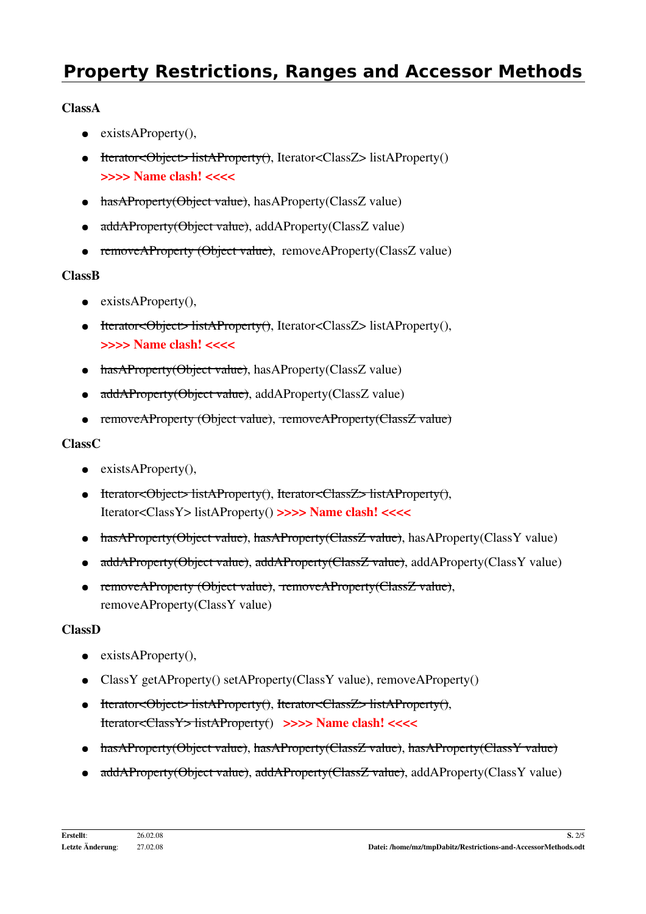### ClassA

- $\bullet$  exists AProperty(),
- Herator<Object> listAProperty(), Iterator<ClassZ> listAProperty() >>>> Name clash! <<<<
- hasAProperty(Object value), hasAProperty(ClassZ value)
- addAProperty(Object value), addAProperty(ClassZ value)
- removeAProperty (Object value), removeAProperty(ClassZ value)

### ClassB

- $\bullet$  exists AProperty(),
- Iterator<Object> listAProperty(), Iterator<ClassZ> listAProperty(), >>>> Name clash! <<<<
- hasAProperty(Object value), hasAProperty(ClassZ value)
- addAProperty(Object value), addAProperty(ClassZ value)
- removeAProperty (Object value), removeAProperty(ClassZ value)

### ClassC

- $\bullet$  exists AProperty(),
- Iterator<Object> listAProperty(), Iterator<ClassZ> listAProperty(), Iterator<ClassY> listAProperty() >>>> Name clash! <<<<
- hasAProperty(Object value), hasAProperty(ClassZ value), hasAProperty(ClassY value)
- addAProperty(Object value), addAProperty(ClassZ value), addAProperty(ClassY value)
- removeAProperty (Object value), removeAProperty(ClassZ value), removeAProperty(ClassY value)

### ClassD

- $\bullet$  exists AProperty(),
- ClassY getAProperty() setAProperty(ClassY value), removeAProperty()
- Iterator<Object> listAProperty(), Iterator<ClassZ> listAProperty(), Iterator<ClassY> listAProperty() >>>> Name clash! <<<<
- hasAProperty(Object value), hasAProperty(ClassZ value), hasAProperty(ClassY value)
- addAProperty(Object value), addAProperty(ClassZ value), addAProperty(ClassY value)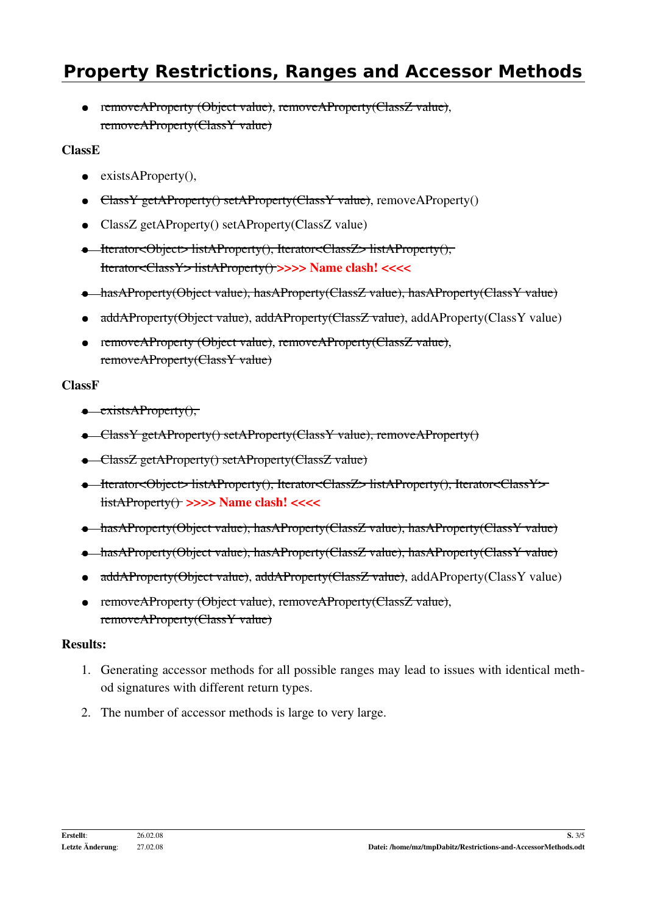● removeAProperty (Object value), removeAProperty(ClassZ value), removeAProperty(ClassY value)

#### ClassE

- $\bullet$  exists AProperty(),
- ClassY getAProperty() setAProperty(ClassY value), removeAProperty()
- ClassZ getAProperty() setAProperty(ClassZ value)
- Iterator<Object> listAProperty(), Iterator<ClassZ> listAProperty(), Iterator<ClassY> listAProperty() >>>> Name clash! <<<<
- hasAProperty(Object value), hasAProperty(ClassZ value), hasAProperty(ClassY value)
- addAProperty(Object value), addAProperty(ClassZ value), addAProperty(ClassY value)
- removeAProperty (Object value), removeAProperty(ClassZ value), removeAProperty(ClassY value)

#### ClassF

- $\bullet$  existsAProperty $()$ ,
- ClassY getAProperty() setAProperty(ClassY value), removeAProperty()
- ClassZ getAProperty() setAProperty(ClassZ value)
- Iterator<Object> listAProperty(), Iterator<ClassZ> listAProperty(), Iterator<ClassY> listAProperty() >>>> Name clash! <<<<
- hasAProperty(Object value), hasAProperty(ClassZ value), hasAProperty(ClassY value)
- hasAProperty(Object value), hasAProperty(ClassZ value), hasAProperty(ClassY value)
- addAProperty(Object value), addAProperty(ClassZ value), addAProperty(ClassY value)
- removeAProperty (Object value), removeAProperty(ClassZ value), removeAProperty(ClassY value)

#### Results:

- 1. Generating accessor methods for all possible ranges may lead to issues with identical method signatures with different return types.
- 2. The number of accessor methods is large to very large.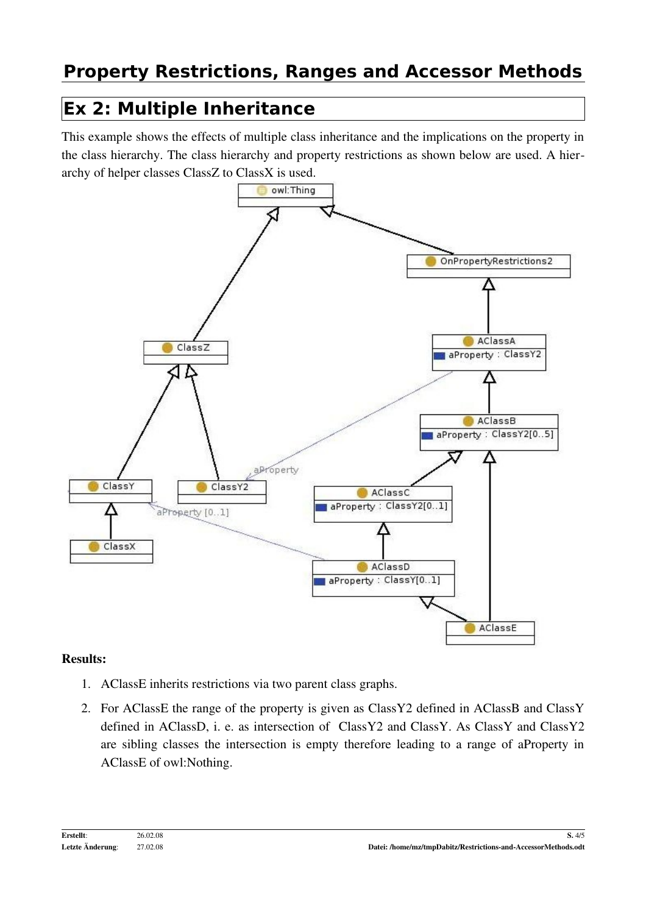## **Ex 2: Multiple Inheritance**

This example shows the effects of multiple class inheritance and the implications on the property in the class hierarchy. The class hierarchy and property restrictions as shown below are used. A hierarchy of helper classes ClassZ to ClassX is used.



#### Results:

- 1. AClassE inherits restrictions via two parent class graphs.
- 2. For AClassE the range of the property is given as ClassY2 defined in AClassB and ClassY defined in AClassD, i. e. as intersection of ClassY2 and ClassY. As ClassY and ClassY2 are sibling classes the intersection is empty therefore leading to a range of aProperty in AClassE of owl:Nothing.